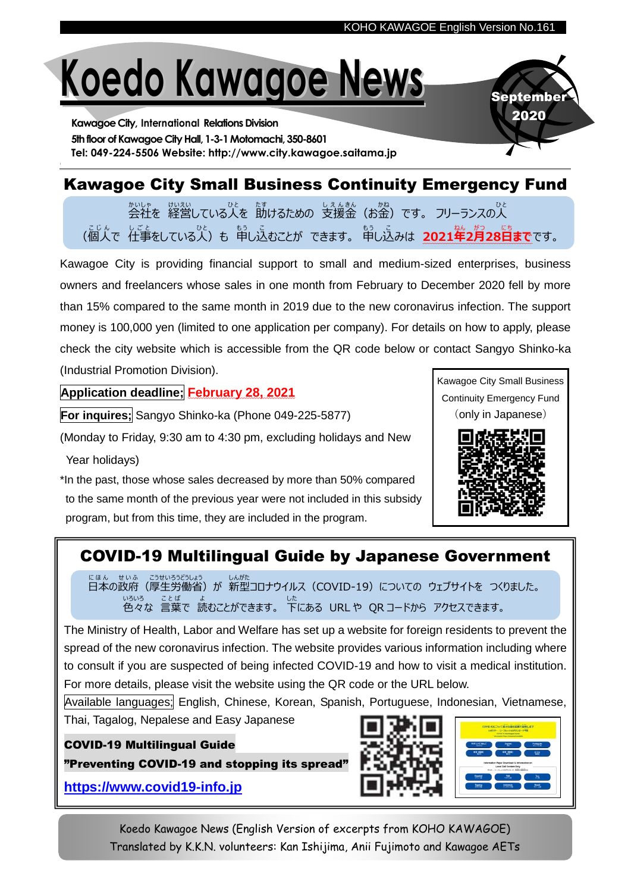# **Koedo Kawagoe News**

**Kawagoe City, International Relations Division** 5th floor of Kawagoe City Hall, 1-3-1 Motomachi, 350-8601 **Tel: 049-224-5506 Website: http://www.city.kawagoe.saitama.jp**

# Kawagoe City Small Business Continuity Emergency Fund

ゕぃゖ<br>会社を 経営している人を 助けるための 支援金(お金)です。 フリーランスの人 (個人 こ じ ん で 仕事 し ご と をしている人 ひ と )も 申 も う し込 こ むことが できます。 申 も う し込 こ みは **2021年** ねん **2月** がつ **28日** に ち **まで**です。

Kawagoe City is providing financial support to small and medium-sized enterprises, business owners and freelancers whose sales in one month from February to December 2020 fell by more than 15% compared to the same month in 2019 due to the new coronavirus infection. The support money is 100,000 yen (limited to one application per company). For details on how to apply, please check the city website which is accessible from the QR code below or contact Sangyo Shinko-ka (Industrial Promotion Division).

## **Application deadline; February 28, 2021**

**For inquires;** Sangyo Shinko-ka (Phone 049-225-5877)

(Monday to Friday, 9:30 am to 4:30 pm, excluding holidays and New Year holidays)

\*In the past, those whose sales decreased by more than 50% compared to the same month of the previous year were not included in this subsidy program, but from this time, they are included in the program.



September 2020



## COVID-19 Multilingual Guide by Japanese Government

にほん せいふ こうせいろうどうしょう しんがた<br>日本の政府(厚生労働省)が 新型コロナウイルス(COVID-19)についての ウェブサイトを つくりました。 い<sub>ろいろ ことば ょ<br>色々な 言葉で 読むことができます。 下にある URLや QRコードから アクセスできます。</sub>

The Ministry of Health, Labor and Welfare has set up a website for foreign residents to prevent the spread of the new coronavirus infection. The website provides various information including where to consult if you are suspected of being infected COVID-19 and how to visit a medical institution. For more details, please visit the website using the QR code or the URL below.

Available languages; English, Chinese, Korean, Spanish, Portuguese, Indonesian, Vietnamese,

Thai, Tagalog, Nepalese and Easy Japanese

#### COVID-19 Multilingual Guide

"Preventing COVID-19 and stopping its spread"

**[https://www.covid19-info.jp](https://www.covid19-info.jp/)**



Koedo Kawagoe News (English Version of excerpts from KOHO KAWAGOE) Translated by K.K.N. volunteers: Kan Ishijima, Anii Fujimoto and Kawagoe AETs